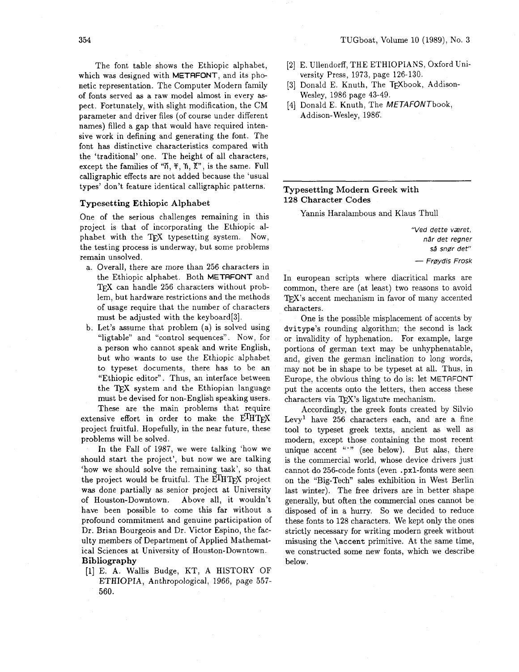The font table shows the Ethiopic alphabet, which was designed with METRFONT, and its phonetic representation. The Computer Modern family of fonts served as a raw model almost in every aspect. Fortunately, with slight modification, the CM parameter and driver files (of course under different names) filled a gap that would have required intensive work in defining and generating the font. The font has distinctive characteristics compared with the 'traditional' one. The height of all characters, except the families of **"K, T, 1, K"** , is the same. Full calligraphic effects are not added because the 'usual types' don't feature identical calligraphic patterns.

#### **Typesetting Et hiopic Alphabet**

One of the serious challenges remaining in this project is that of incorporating the Ethiopic alphabet with the TEX typesetting system. Now, the testing process is underway, but some problems remain unsolved.

- a. Overall, there are more than 256 characters in the Ethiopic alphabet. Both METAFONT and TFX can handle 256 characters without problem, but hardware restrictions and the methods of usage require that the number of characters must be adjusted with the keyboard[3].
- b. Let's assume that problem (a) is solved using "ligtable" and "control sequences". Now, for a person who cannot speak and write English, but who wants to use the Ethiopic alphabet to typeset documents, there has to be an "Ethiopic editor". Thus, an interface between the TEX system and the Ethiopian language must be devised for non-English speaking users.

These are the main problems that require extensive effort in order to make the  $E^{\text{T}}HT$ FX project fruitful. Hopefully, in the near future, these problems will be solved.

In the Fall of 1987, we were talking 'how we should start the project', but now we are talking 'how we should solve the remaining task', so that the project would be fruitful. The  $E^{\text{I}}H^{\text{I}}\mathbf{F}X$  project was done partially as senior project at University of Houston-Downtown. Above all, it wouldn't have been possible to come this far without a profound commitment and genuine participation of Dr. Brian Bourgeois and Dr. Victor Espino, the faculty members of Department of Applied Mathematical Sciences at University of Houston-Downtown. **Bibliography** 

[l] E. A. Wallis Budge, KT, A HISTORY OF ETHIOPIA, Anthropological, 1966, page 557- 560.

- [2] E. Ullendorff, THE ETHIOPIANS, Oxford University Press, 1973, page 126-130.
- [3] Donald E. Knuth, The TFXbook, Addison-Wesley, 1986 page 43-49.
- [4] Donald E. Knuth, The METAFONTbook, Addison-Wesley, 1986'.

## **Typesetting Modern Greek with 128 Character Codes**

Yannis Haralambous and Klaus Thull

**"Ved dette vzret, ndr det regner**  så snør det" - **Frgydis Frosk** 

In european scripts where diacritical marks are common, there are (at least) two reasons to avoid T<sub>F</sub>X's accent mechanism in favor of many accented characters.

One is the possible misplacement of accents by dvitype's rounding algorithm; the second is lack or invalidity of hyphenation. For example, large portions of german text may be unhyphenatable, and, given the german inclination to long words, may not be in shape to be typeset at all. Thus, in Europe, the obvious thing to do is: let METAFONT put the accents onto the letters, then access these characters via TFX's ligature mechanism.

Accordingly, the greek fonts created by Silvio Levy<sup>1</sup> have  $256$  characters each, and are a fine tool to typeset greek texts, ancient as well as modern, except those containing the most recent unique accent "" (see below). But alas, there is the commercial world, whose device drivers just cannot do 256-code fonts (even .pxl-fonts were seen on the "Big-Tech" sales exhibition in West Berlin last winter). The free drivers are in better shape generally, but often the commercial ones cannot be disposed of in a hurry. So we decided to reduce these fonts to 128 characters. We kept only the ones strictly necessary for writing modern greek without misusing the \accent primitive. At the same time, we constructed some new fonts, which we describe below.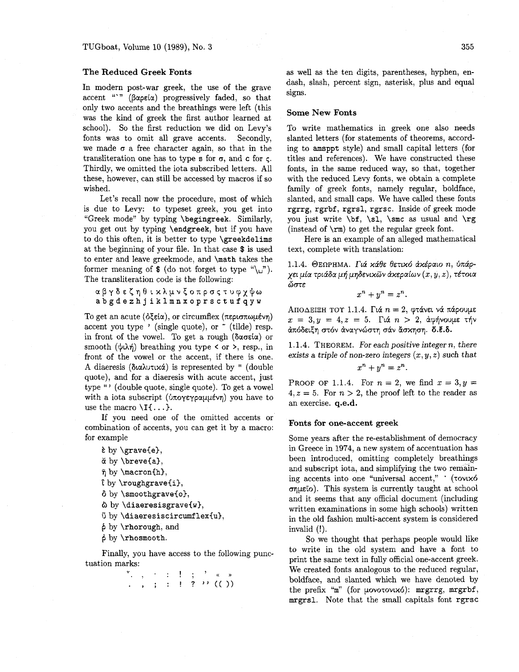#### **The Reduced Greek Fonts**

In modern post-war greek, the use of the grave accent "'" (βαρεία) progressively faded, so that only two accents and the breathings were left (this **was** the kind of greek the first author learned at school). So the first reduction we did on Levy's fonts was to omit all grave accents. Secondly, we made  $\sigma$  a free character again, so that in the transliteration one has to type s for  $\sigma$ , and c for  $\sigma$ . Thirdly, we omitted the iota subscribed letters. All these, however, can still be accessed by macros if so wished.

Let's recall now the procedure, most of which is due to Levy: to typeset greek, you get into "Greek mode" by typing \begingreek. Similarly, you get out by typing \endgreek, but if you have to do this often, it is better to type \greekdelims at the beginning of your file. In that case \$ is used to enter and leave greekmode, and \math takes the former meaning of \$ (do not forget to type "\"). The transliteration code is the following:

a β γ δ ε ζ η θ ι x λ μ ν ξ ο π ρ σ ς τ υ φ χ ψ ω **abgdezhjiklmnxoprsctufqyw** 

To get an acute  $(\delta \xi \in i\alpha)$ , or circumflex  $(\pi \epsilon \rho \sigma \pi \omega \mu \epsilon \nu)$ <br>accent you type ' (single quote), or  $\tilde{ }$  (tilde) resp. in front of the vowel. To get a rough ( $\delta \alpha \sigma \epsilon$ ia) or smooth  $(\psi \lambda \eta)$  breathing you type  $\langle$  or  $\rangle$ , resp., in front of the vowel or the accent, if there is one. A diaeresis (διαλυτικά) is represented by " (double quote), and for a diaeresis with acute accent, just type "' (double quote, single quote). To get a vowel with a iota subscript ( $\phi \pi \alpha \gamma \gamma \alpha \mu \gamma$ ) you have to use the macro  $\setminus I\{\ldots\}.$ 

If you need one of the omitted accents or combination of accents, you can get it by a macro: for example

```
\epsilon by \zetarave{e},
```

```
ă by \breve{a},
```

```
\bar{\eta} by \text{macron}\{h\},
```

```
\iota by \roughgrave{i},
```

```
ô by \smoothgrave{o},
```

```
\& by \diaeresisgrave{w},
```

```
\ddot{\text{o}} by \diaeresiscircumflex{u},
```

```
6 by \rhorough, and
```
*6* by \rhosmooth.

Finally, you have access to the following punctuation marks:

> **T.**,  $\cdot$  : 1;  $\cdot$  . . , ; : ! ? "  $(())$

as well **as** the ten digits, parentheses, hyphen, endash, slash, percent sign, asterisk, plus and equal signs.

## **Some New Fonts**

To write mathematics in greek one also needs slanted letters (for statements of theorems, according to amsppt style) and small capital letters (for titles and references). We have constructed these fonts, in the same reduced way, so that, together with the reduced Levy fonts, we obtain a complete family of greek fonts, namely regular, boldface, slanted, and small caps. We have called these fonts rgrrg, rgrbf, rgrsl, rgrsc. Inside of greek mode you just write  $\bf{b}f$ ,  $\simeq$  as usual and  $\rgeq$ (instead of  $\rm\Im$ ) to get the regular greek font.

Here is an example of an alleged mathematical text, complete with translation:

1.1.4. ΘΕΩΡΗΜΑ. Γιά κάθε θετικό ακέραιο *n*, ύπάρ- $\chi$ ει μία τριάδα μή μηδενικῶν ἀχεραίων  $(x, y, z)$ , τέτοια **dors** 

$$
x^n + y^n = z^n.
$$

ΑΠΟΔΕΙΞΗ ΤΟΥ 1.1.4. Γιά  $n = 2$ , φτάνει νά πάρουμε  $x = 3, y = 4, z = 5$ . Γιά  $n > 2$ , άφήνουμε τήν άπόδειξη στόν άναγνώστη σάν άσκηση. δ.έ.δ.

1.1.4. THEOREM. For each positive integer n, there exists a triple of non-zero integers  $(x, y, z)$  such that  $x^n + y^n = z^n$ .

**PROOF OF 1.1.4.** For  $n = 2$ , we find  $x = 3, y =$  $4, z = 5$ . For  $n > 2$ , the proof left to the reader as an exercise. **q.e.d.** 

#### **Fonts for one-accent greek**

Some years after the re-establishment of democracy in Greece in 1974, a new system of accentuation has been introduced, omitting completely breathings and subscript iota, and simplifying the two remaining accents into one "universal accent," ' (rovix6  $\sigma$ queto). This system is currently taught at school and it seems that any official document (including written examinations in some high schools) written in the old fashion multi-accent system is considered invalid (!).

So we thought that perhaps people would like to write in the old system and have a font to print the same text in fully official one-accent greek. We created fonts analogous to the reduced regular, boldface, and slanted which we have denoted by the prefix "m" (for  $\mu$ ovotovixó): mrgrrg, mrgrbf, mrgrsl. Note that the small capitals font rgrsc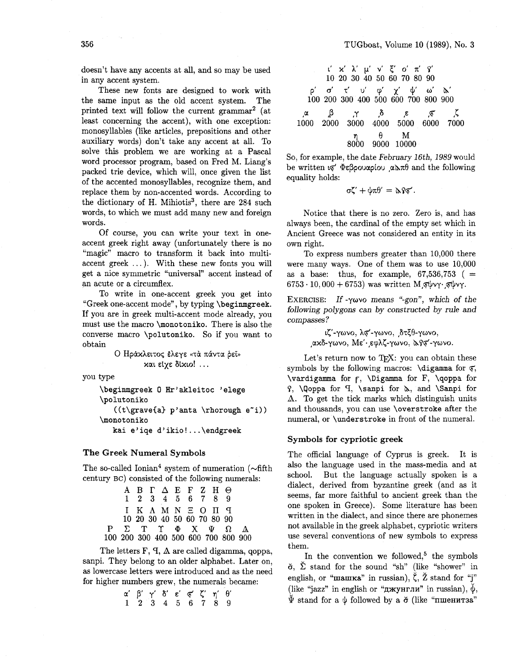doesn't have any accents at all, and so may be used in any accent system.

These new fonts are designed to work with the same input as the old accent system. The printed text will follow the current gammar2 (at least concerning the accent), with one exception: monosyllables (like articles, prepositions and other auxiliary words) don't take any accent at all. To solve this problem we are working at a Pascal word processor program, based on Fred M. Liang's packed trie device, which will, once given the list of the accented monosyllables, recognize them, and replace them by non-accented words. According to the dictionary of H. Mihiotis<sup>3</sup>, there are 284 such words, to which we must add many new and foreign words.

Of course, you can write your text in oneaccent greek right away (unfortunately there is no "magic" macro to transform it back into multiaccent greek  $\dots$ ). With these new fonts you will get a nice symmetric "universal" accent instead of an acute or a circumflex.

To write in one-accent greek you get into "Greek one-accent mode", by typing **\beginmgreek.**  If you are in greek multi-accent mode already, you must use the macro **\monotoniko.** There is also the converse macro **\polutoniko.** So if you want to obtain

O Ηράχλειτος έλεγε «τά πάντα ρεί» xal Elye dixlo! ...

you type

**\beginngreek 0 Hr'akleitoc 'elege \polutoniko**  ((t\grave{a} p'anta \rhorough e<sup>2</sup>i)) **\monotoniko kai e'iqe d'ikio!** ... **\endgreek** 

#### **The Greek Numeral Symbols**

The so-called Ionian<sup>4</sup> system of numeration  $(\sim$ fifth century BC) consisted of the following numerals:

|  |  | ΑΒΓΔΕΓΖΗΘ                  |  |                                            |  |
|--|--|----------------------------|--|--------------------------------------------|--|
|  |  | 1 2 3 4 5 6 7 8 9          |  |                                            |  |
|  |  | I K A M N E O II T         |  |                                            |  |
|  |  | 10 20 30 40 50 60 70 80 90 |  |                                            |  |
|  |  |                            |  | $P \Sigma T \Upsilon \Phi X \Psi \Omega A$ |  |
|  |  |                            |  | 100 200 300 400 500 600 700 800 900        |  |

The letters  $F$ ,  $T$ ,  $\Delta$  are called digamma, qoppa, sanpi. They belong to an older alphabet. Later on, as lowercase letters were introduced and as the need for higher numbers grew, the numerals became:

**a'** β' γ' δ' ε' σ' ζ' η' θ' 123456789

| $\iota' \times \lambda' \mu' \vee \xi' \circ \pi' \gamma'$               |
|--------------------------------------------------------------------------|
| 10 20 30 40 50 60 70 80 90                                               |
| $\rho' \sigma' \tau' \upsilon' \phi' \chi' \psi' \omega' \kappa'$        |
| 100 200 300 400 500 600 700 800 900                                      |
| $\alpha \beta \gamma \delta \xi \overline{\xi} \overline{\zeta}$ $\zeta$ |
| 1000 2000 3000 4000 5000 6000 7000                                       |
| $\eta \theta \overline{\eta}$ M                                          |
| 8000 9000 10000                                                          |

So, for example, the date February 16th, 1989 would be written  $\varphi$   $\Phi$ *e* $\beta$ *pouxpiou*  $\alpha \in \mathbb{R}$  and the following equality holds:

$$
\sigma\zeta'+\psi\pi\theta'=\alpha\gamma\overline{\varphi'}.
$$

Notice that there is no zero. Zero is, and has always been, the cardinal of the empty set which in Ancient Greece was not considered an entity in its own right.

To express numbers greater than 10,000 there were many ways. One of them was to use 10,000 as a base: thus, for example,  $67,536,753$  ( $=$  $6753 \cdot 10,000 + 6753$ ) was written Mg $\psi$ vy.

EXERCISE: If - $\gamma\omega\vee\circ$  means "-gon", which of the following polygons can by constructed by rule and compasses ?

> ιζ'-γωνο, λσ'-γωνο, , δτξθ-γωνο, ακδ-γωνο, Με' εφλζ-γωνο, λγσ'-γωνο.

Let's return now to TEX: you can obtain these symbols by the following macros: **\digamma** for  $\overline{\varphi}$ , **\vardigamma** for r, **\Digamma** for F, **\qoppa** for 9, **\qoppa** for 9, **\sanpi** for h, and **\Sanpi** for **A.** To get the tick marks which distinguish units and thousands, you can use **\overstroke** after the numeral, or **\understroke** in front of the numeral.

### **Symbols for cypriotic greek**

The official language of Cyprus is greek. It is also the language used in the mass-media and at school. But the language actually spoken is a dialect, derived from byzantine greek (and as it seems, far more faithful to ancient greek than the one spoken in Greece). Some literature has been written in the dialect, and since there are phonemes not available in the greek alphabet, cypriotic writers use several conventions of new symbols to express them.

In the convention we followed,<sup>5</sup> the symbols  $\check{\sigma}$ ,  $\check{\Sigma}$  stand for the sound "sh" (like "shower" in english, or "**manka**" in russian),  $\zeta$ ,  $\zeta$  stand for "j" (like "jazz" in english or "джунгли" in russian),  $\check{\psi}$ ,  $\Psi$  stand for a  $\psi$  followed by a  $\check{\sigma}$  (like "пшенитза"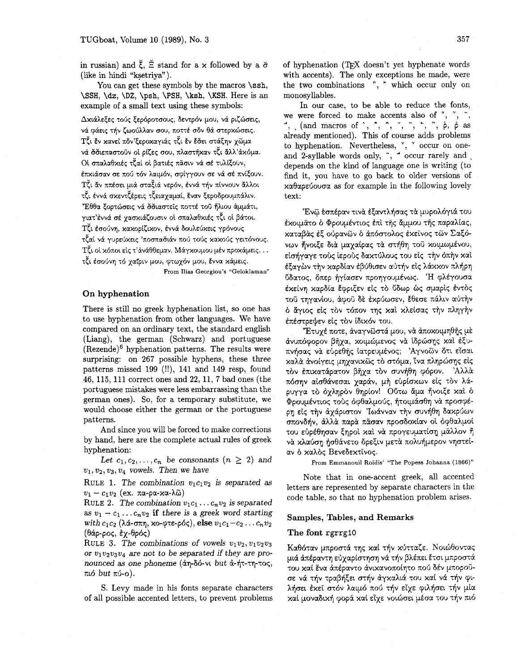You can get these symbols by the macros **\ssh**, \SSH, **\dz, \DZ,** \psh, \PSH, \ksh, \KSH. Here is an example of a small text using these symbols:

Δχιάλεξες τούς ξερόροτσους, δεντρόν μου, νά ριζώσεις, νά φάεις τήν ζωούλλαν σου, ποττέ σόν θά στερχώσεις. Tζι έν κανεί πόν'ξεροκαγιάς τζι έν έσει στάξην χῶμα νά σσιεπαστούν οι ρίζες σου, πλαστήχαν τζι άλλ'άχόμα. Οι σπαλαθχιές τζαί οι βατιές πάσιν νά σέ τυλίξουν, έπχιάσαν σε πού τόν λαιμόν, σφίγγουν σε νά σέ πνίξουν. TČι άν ππέσει μιά σταξιά νερόν, έννά τήν πίννουν άλλοι τζι έννά σκεντζέρεις τζειαχαμαί, έναν ξεροδρουμπάλιν. "Εθθα ξορτώσεις νά σσιαστείς ποττέ του ήλιου άμμάτι, γιατ'έννά σέ γασχιάζουσιν οι σπαλαθχιές τζι οι βάτοι. Τζι έσούνη, κακορίζικον, έννά δουλεύκεις γρόνους τζαί νά γυρεύχεις 'ποσπασιάν πού τούς χαχούς γειτόνους. Τζι οί χόποι είς τ' άνάθθεμαν. Μάγχουμου μέν προκάμεις... τζι έσούνη τό χαΐριν μου, φτωχόν μου, έννα κάμεις.

From Ilias Georgiou's "Geloklaman"

### **On hyphenation**

There is still no greek hyphenation list, so one has to use hyphenation from other languages. We have compared on an ordinary text, the standard english (Liang), the german (Schwarz) and portuguese  $(Rezende)<sup>6</sup>$  hyphenation patterns. The results were surprising: on 267 possible hyphens, these three patterns missed 199 (!!), 141 and 149 resp, found 46, 115, 111 correct ones and 22, 11, 7 bad ones (the portuguese mistakes were less embarrassing than the german ones). So, for a temporary substitute, we would choose either the german or the portuguese patterns.

And since you will be forced to make corrections by hand, here are the complete actual rules of greek hyphenation:

Let  $c_1, c_2, \ldots, c_n$  be consonants  $(n \geq 2)$  and  $v_1, v_2, v_3, v_4$  vowels. Then we have

RULE 1. The combination  $v_1c_1v_2$  is separated as  $v_1 - c_1v_2$  (ex. πα-ρα-χα-λῶ)

RULE 2. The combination  $v_1c_1 \ldots c_nv_2$  is separated as  $v_1 - c_1 \ldots c_n v_2$  **if** there is a greek word starting with  $c_1c_2$  ( $\lambda$ ά-σπη, xo-φτε-ρός), else  $v_1c_1-c_2 \ldots c_nv_2$  $(θάρ-ρος, εγ-θρός)$ 

RULE 3. The combinations of vowels  $v_1v_2, v_1v_2v_3$ or  $v_1v_2v_3v_4$  are not to be separated if they are pronounced as one phoneme  $(\alpha r - \delta \phi - \nu \omega)$  but  $\alpha$ - $\eta$ - $\tau \gamma$ - $\tau \circ \varsigma$ , πιό but πύ-ο).

S. Levy made in his fonts separate characters of all possible accented letters, to prevent problems

of hyphenation (TEX doesn't yet hyphenate words with accents). The only exceptions he made, were the two combinations ", ^ which occur only on monosyllables.

In our case, to be able to reduce the fonts, we were forced to make accents also of  $\tilde{f}$ ,  $\tilde{f}$ ,  $\tilde{f}$ , \*, (and macros of ', ^, ", ', -, ", ", *6, 6* as already mentioned). This of course adds problems to hyphenation. Nevertheless, ", " occur on oneand 2-syllable words only, ", " occur rarely and depends on the kind of language one is writing (to find it, you have to go back to older versions of  $x\alpha\theta\alpha\rho\epsilon\omega\sigma\alpha$  as for example in the following lovely text:

'Ενώ έσπέραν τινά εξαντλήσας τα μυρολόγιά του έχοιμάτο δ Φρουμέντιος έπι της άμμου της παραλίας, καταβάς έξ ούρανων ό απόστολος έκεϊνος των Σαξόvων ήνοιξε διά μαγαίρας τα στήθη του χοιμωμένου, είσήγαγε τούς ίερούς δαχτύλους του είς την όπην και εξαγών την καρδίαν εβύθισεν αὐτήν εἰς λάκκον πλήρη ύδατος, δπερ ήγίασεν προηγουμένως. Ή φλέγουσα έκείνη καρδία έφριξεν είς το ΰδωρ ως σμαρίς έντος τοϋ τηγανίου, άφοϋ δε έχρύωσεν, έθεσε πάλιν αύτην 6 άγιος είς τον τόπον της και κλείσας την πληγήν επέστρεψεν είς τον ίδικόν του.

"Έτυχέ ποτε, άναγνωστά μου, να αποκοιμηθής με άνυπόφορον βήχα, κοιμώμενος να ίδρώσης και έξυπνήσας να εύρεθης ιατρευμένος; Αγνοῶν ὅτι είσαι xaλά άνοίγεις μηγανικῶς τὸ στόμα, Υνα πληρώσης είς τον έπιχατάρατον βήχα τον συνήθη φόρον. Αλλά πόσην αίσθάνεσαι χαράν, μή ευρίσχων είς τον λάρυγγα τὸ ὀχληρὸν θηρίον! Ο τω ἄμα ἤνοιξε xal ô  $\Phi$ ρουμέντιος τούς όφθαλμούς, ήτοιμάσθη να προσφέpη είς την άχάριστον 'Ιωάνναν την συνήθη δακρύων oxov6rjv, &Ah& xaph xiioav xpoo60xIav 01 b(~0ahpoi του εύρέθησαν ξηροί και νά προγευματίση μάλλον ή và κλαύση ήσθάνετο δρεξιν μετά πολυήμερον νηστείαν ο καλός Βενεδεκτίνος.

From Emmanouil Roïdis' "The Popess Johanna (1866)"

Note that in one-accent greek, all accented letters are represented by separate characters in the code table, so that no hyphenation problem arises.

#### **Samples, Tables, and Remarks**

#### **The font** rgrrglO

Kαθόταν μπροστά της καί τήν κύτταζε. Νοιώθοντας μιά απέραντη εὐχαρίστηση νά τήν βλέπει ἔτσι μπροστά του καί ένα απέραντο ανικανοποίητο πού δέν μποροϋoε νά τήν τραβήξει στήν άγκαλιά του καί νά τήν φιλήσει έχει στόν λαιμό πού τήν είχε φιλήσει τήν μία xai μοναδική φορά καί είχε νοιώσει μέσα του τήν πιό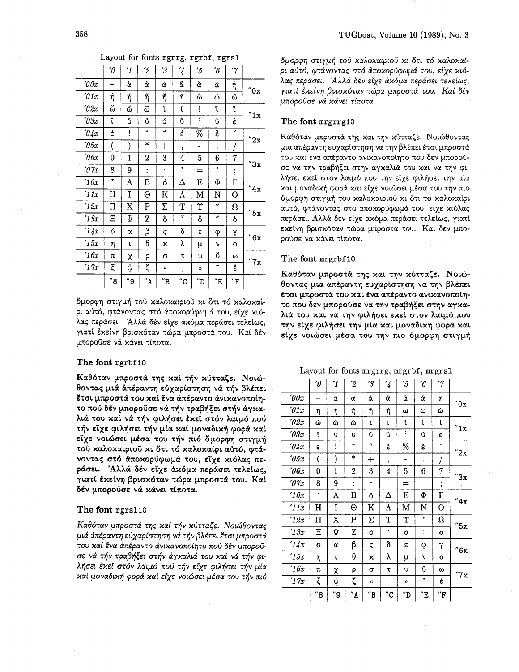| Layout for fonts rgrrg, rgrbf, rgrs1 |  |  |  |
|--------------------------------------|--|--|--|
|--------------------------------------|--|--|--|

|                          | $\theta'$ | $\mathcal{I}$ | '2                         | $\mathcal{\hat{J}}$      | $\overline{\mathcal{L}}$ | ΄5                        | $\boldsymbol{\hat{6}}$   | $\gamma$                |                      |
|--------------------------|-----------|---------------|----------------------------|--------------------------|--------------------------|---------------------------|--------------------------|-------------------------|----------------------|
| $\it 00x$                |           | ά             | ά                          | ά                        | å.                       | ă                         | ã                        | ή                       | $^{\prime\prime}$ Ox |
| 01x                      | ή         | ή             | ñ                          | ή                        | $\tilde{\eta}$           | ۵                         | ۵                        | ۵                       |                      |
| 2x                       | ద         | ۵             | $\tilde{\omega}$           | ĺ                        | l                        | ί                         | ľ                        | ĭ                       | "1x                  |
| 03x                      | ĩ         | Ů             | Ů                          | ú                        | ű                        | ,                         | ũ                        | έ                       |                      |
| $\partial \mathcal{L} x$ | έ         | ļ             | ٠.                         | $\mathcal{A}$            | έ                        | %                         | Ě                        | ,                       | "2x                  |
| 05x                      |           | )             | $\ast$                     | $\mathrm{+}$             | y.                       |                           | ٠                        |                         |                      |
| $\hat{c}$                | 0         | 1             | 2                          | 3                        | 4                        | 5                         | 6                        | 7                       | "3x                  |
| $\partial \gamma_x$      | 8         | 9             | İ.                         | ٠                        | ¢                        | $=$                       | ,                        | $\ddot{\phantom{0}}$    |                      |
| 10x                      | ٠         | A             | В                          | ó                        | Δ                        | E                         | Φ                        | $\Gamma$                | "4x                  |
| 11x                      | Η         | I             | Θ                          | K                        | Λ                        | М                         | N                        | О                       |                      |
| 12x                      | Π         | X             | $\mathbf P$                | Σ                        | T                        | Υ                         | $\mathbf{c}$             | Ω                       | "5x                  |
| 13x                      | Ξ         | Ψ             | Z                          | ő                        | γ                        | ő                         | $\overline{\phantom{a}}$ | ò                       |                      |
| 14x                      | ò         | α             | β                          | ς                        | δ                        | ε                         | φ                        | Υ                       | "6x                  |
| 15x                      | η         | t             | θ                          | x                        | у                        | μ                         | ν                        | O                       |                      |
| 16x                      | π         | χ             | ρ                          | σ                        | τ                        | υ                         | ŏ                        | ω                       | "7x                  |
| '17x                     | ξ         | ψ             | ζ                          | $\alpha$                 | ¢                        | $\mathcal{D}$             | $\tilde{\phantom{a}}$    | Ë                       |                      |
|                          | "8        | "9            | $^{\prime\prime} \text{A}$ | $^{\prime\prime}{\rm B}$ | $^{\prime\prime}{\rm C}$ | $^{\prime\prime} {\rm D}$ | $^{\prime\prime}{\rm E}$ | $^{\prime\prime}\rm{F}$ |                      |

δμορφη στιγμή τοῦ χαλοχαιριοῦ χι ὅτι τό χαλοχαίρι αὐτό, φτάνοντας στό ἀποχορύφωμά του, εἶχε χιόλας περάσει. Αλλά δέν είχε άκόμα περάσει τελείως, γιατί έκείνη βρισκόταν τώρα μπροστά του. Καί δέν μπορούσε νά κάνει τίποτα.

#### The font rgrbf 10

Καθόταν μπροστά της καί τήν κύτταζε. Νοιώθοντας μιά απέραντη εύχαρίστηση νά τήν βλέπει έτσι μπροστά του καί ένα άπέραντο άνικανοποίητο πού δέν μπορούσε νά τήν τραβήξει στήν άγκαλιά του καί νά τήν φιλήσει έκεϊ στόν λαιμό πού τήν είχε φιλήσει τήν μία καί μοναδική φορά καί είχε νοιώσει μέσα του τήν πιό δμορφη στιγμή τοῦ χαλοχαιριοῦ χι ὅτι τό χαλοχαίρι αὐτό, φτάνοντας στό άποχορύφωμά του, είχε χιόλας περάσει. Άλλά δέν είχε άκόμα περάσει τελείως, γιατί έχείνη βρισχόταν τώρα μπροστά του. Καί δέν μπορούσε νά κάνει τίποτα.

### The font rgrslio

*Ka86rav pxpomci rqq xai rrjv xrjrraC~. Nor6Oovra; pd cixdpavrq ~dxapimqoq vd rrjv PAdm fro1 pxpomd rou xai tva cixdpaveo dvixavoxoiqro xorj 6dv pxopoij***a&** *vci rljv rp@rj+r mJjv ciyxahrci rou xai vd rrjv rpi-Arjoa bxci m6v Aarp6 xorj rfjv ckc rprhrjoa rrjv pia xai pova6rxrj yopd xai E~E VOL~OEL pdoa TOU rrjv ~16*  δμορφη στιγμή του χαλοκαιριού κι δτι τό καλοκαίρι αύτό, φτάνοντας στό άποχορύφωμά του, είχε χιόλας περάσει. Άλλά δέν είχε άκόμα περάσει τελείως, γιατί έκείνη βρισκόταν τώρα μπροστά του. Καί δέν μποροῦσε νά κάνει τίποτα.

## The font mrgrrglO

Καθόταν μπροστά της και την κύτταζε. Νοιώθοντας μια απέραντη ευχαρίστηση να την βλέπει έτσι μπροστά του και ένα απέραντο ανικανοποίητο που δεν μπορούσε να την τραβήξει στην αγκαλιά του και να την φιλήσει εχεί στον λαιμό που την είχε φιλήσει την μία χαι μοναδική φορά και είχε νοιώσει μέσα του την πιο όμορφη στιγμή του καλοκαιριού κι ότι το καλοκαίρι αυτό, φτάνοντας στο αποχορύφωμά του, είχε χιόλας περάσει. Αλλά δεν είχε ακόμα περάσει τελείως, γιατί εχείνη βρισχόταν τώρα μπροστά του. Και δεν μπορούσε να κάνει τίποτα.

## The font mrgrbf 10

Καθόταν μπροστά της και την κύτταζε. Νοιώθοντας μια απέραντη ευχαρίστηση να την βλέπει έτσι μπροστά του και ένα απέραντο ανικανοποίητο που δεν μπορούσε να την τραβήξει στην αγκαλιά του και να την φιλήσει εκεί στον λαιμό που την είχε φιλήσει την μία και μοναδική φορά και είχε νοιώσει μέσα του την πιο όμορφη στιγμή

#### Layout for fonts mrgrrg, mrgrbf, mrgrsl

|                     | $\theta'$    | $\mathbf{I}$ | $^{\prime}2$     | $^\prime\!3$          | $\mathcal{L}_{\mathcal{A}}$ | $^{\prime}5$ | $\boldsymbol{\hat{6}}$ | $\gamma$                      |                       |  |
|---------------------|--------------|--------------|------------------|-----------------------|-----------------------------|--------------|------------------------|-------------------------------|-----------------------|--|
| 00x                 | -            | α            | α                | ά                     | ά                           | ά            | ά                      | η                             | "0x                   |  |
| $\int$ 01 $x$       | η            | ή            | ή                | ή                     | ή                           | ω            | ω                      | ώ                             |                       |  |
| $\sqrt{02x}$        | ώ            | ώ            | ώ                | L                     | t                           | l            | ľ                      | L                             | "1x                   |  |
| $\iota$ 03 $x$      | ĺ            | υ            | υ                | Ů                     | Ů                           | $\bullet$    | Ů                      | ε                             |                       |  |
| 04x                 | ε            | ļ            |                  | $\mathcal{E}_\bullet$ | È                           | %            | έ                      | ۰                             | "2x                   |  |
| $\imath$ 05 $x$     |              |              | $\ast$           | $^{+}$                | ţ.                          | ۰            | ٠                      |                               |                       |  |
| $\theta$ 6x         | $\bf{0}$     | $\mathbf{1}$ | $\boldsymbol{2}$ | 3                     | $\overline{4}$              | 5            | 6                      | $\overline{7}$                | "3x                   |  |
| $\partial \gamma_x$ | 8            | 9            | $\ddot{\cdot}$   | ٠                     |                             | $=$          |                        | ٠<br>$\overline{\phantom{a}}$ |                       |  |
| 10x                 | ٠            | A            | B                | Ò                     | Δ                           | E            | $\Phi$                 | $\Gamma$                      | $^{\prime\prime}4x$   |  |
| '11x                | H            | I            | Θ                | K                     | Λ                           | M            | N                      | O                             |                       |  |
| 12x                 | П            | X            | P                | Σ                     | T                           | Υ            | ۰                      | $\Omega$                      | "5x                   |  |
| 13x                 | Ξ            | Ψ            | Z                | Ò                     | ٠                           | Ò            | Ť                      | o                             |                       |  |
| 1/x                 | $\mathbf{o}$ | α            | β                | ς                     | δ                           | ε            | φ                      | Υ                             | $^{\prime\prime}6x$   |  |
| 15x                 | η            | L            | $\theta$         | χ                     | λ                           | μ            | ν                      | $\mathbf o$                   |                       |  |
| 16x                 | π            | χ            | ρ                | σ                     | τ                           | υ            | Ů                      | ω                             | $^{\prime\prime}$ 7 x |  |
| '17x                | ξ            | ψ            | ζ                | $\pmb{\ll}$           |                             | »            | ٠                      | έ                             |                       |  |
|                     | "8           | "9           | $"$ A            | "B                    | $^{\prime\prime}$ C         | "D           | ΄Έ                     | $^{\prime\prime}{\rm F}$      |                       |  |